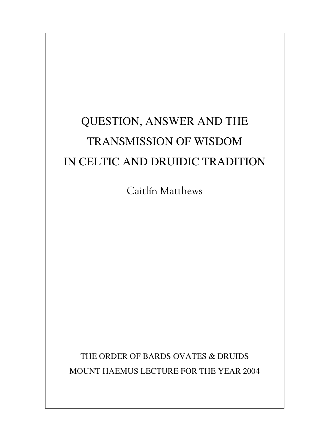# QUESTION, ANSWER AND THE TRANSMISSION OF WISDOM IN CELTIC AND DRUIDIC TRADITION

Caitlín Matthews

THE ORDER OF BARDS OVATES & DRUIDS MOUNT HAEMUS LECTURE FOR THE YEAR 2004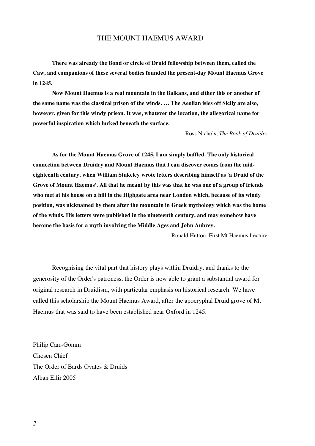# THE MOUNT HAEMUS AWARD

**There was already the Bond or circle of Druid fellowship between them, called the Caw, and companions of these several bodies founded the present-day Mount Haemus Grove in 1245.**

**Now Mount Haemus is a real mountain in the Balkans, and either this or another of the same name was the classical prison of the winds. … The Aeolian isles off Sicily are also, however, given for this windy prison. It was, whatever the location, the allegorical name for powerful inspiration which lurked beneath the surface.**

Ross Nichols, *The Book of Druidry*

**As for the Mount Haemus Grove of 1245, I am simply baffled. The only historical connection between Druidry and Mount Haemus that I can discover comes from the mideighteenth century, when William Stukeley wrote letters describing himself as 'a Druid of the Grove of Mount Haemus'. All that he meant by this was that he was one of a group of friends who met at his house on a hill in the Highgate area near London which, because of its windy position, was nicknamed by them after the mountain in Greek mythology which was the home of the winds. His letters were published in the nineteenth century, and may somehow have become the basis for a myth involving the Middle Ages and John Aubrey.**

Ronald Hutton, First Mt Haemus Lecture

Recognising the vital part that history plays within Druidry, and thanks to the generosity of the Order's patroness, the Order is now able to grant a substantial award for original research in Druidism, with particular emphasis on historical research. We have called this scholarship the Mount Haemus Award, after the apocryphal Druid grove of Mt Haemus that was said to have been established near Oxford in 1245.

Philip Carr-Gomm Chosen Chief The Order of Bards Ovates & Druids Alban Eilir 2005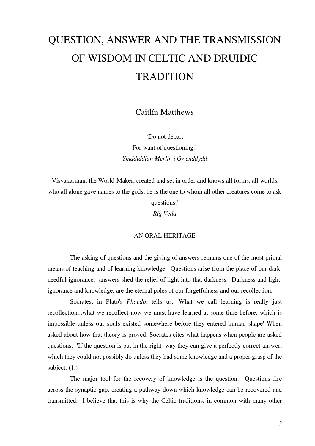# QUESTION, ANSWER AND THE TRANSMISSION OF WISDOM IN CELTIC AND DRUIDIC **TRADITION**

Caitlín Matthews

'Do not depart For want of questioning.' *Ymddiddian Merlin i Gwenddydd*

'Vísvakarman, the World-Maker, created and set in order and knows all forms, all worlds, who all alone gave names to the gods, he is the one to whom all other creatures come to ask

questions.'

*Rig Veda*

#### AN ORAL HERITAGE

The asking of questions and the giving of answers remains one of the most primal means of teaching and of learning knowledge. Questions arise from the place of our dark, needful ignorance: answers shed the relief of light into that darkness. Darkness and light, ignorance and knowledge, are the eternal poles of our forgetfulness and our recollection.

Socrates, in Plato's *Phaedo*, tells us: 'What we call learning is really just recollection...what we recollect now we must have learned at some time before, which is impossible unless our souls existed somewhere before they entered human shape' When asked about how that theory is proved, Socrates cites what happens when people are asked questions. 'If the question is put in the right way they can give a perfectly correct answer, which they could not possibly do unless they had some knowledge and a proper grasp of the subject. (1.)

The major tool for the recovery of knowledge is the question. Questions fire across the synaptic gap, creating a pathway down which knowledge can be recovered and transmitted. I believe that this is why the Celtic traditions, in common with many other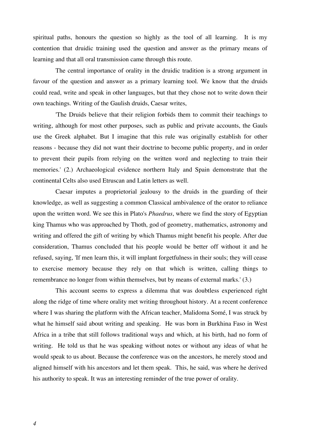spiritual paths, honours the question so highly as the tool of all learning. It is my contention that druidic training used the question and answer as the primary means of learning and that all oral transmission came through this route.

The central importance of orality in the druidic tradition is a strong argument in favour of the question and answer as a primary learning tool. We know that the druids could read, write and speak in other languages, but that they chose not to write down their own teachings. Writing of the Gaulish druids, Caesar writes,

'The Druids believe that their religion forbids them to commit their teachings to writing, although for most other purposes, such as public and private accounts, the Gauls use the Greek alphabet. But I imagine that this rule was originally establish for other reasons - because they did not want their doctrine to become public property, and in order to prevent their pupils from relying on the written word and neglecting to train their memories.' (2.) Archaeological evidence northern Italy and Spain demonstrate that the continental Celts also used Etruscan and Latin letters as well.

Caesar imputes a proprietorial jealousy to the druids in the guarding of their knowledge, as well as suggesting a common Classical ambivalence of the orator to reliance upon the written word. We see this in Plato's *Phaedrus*, where we find the story of Egyptian king Thamus who was approached by Thoth, god of geometry, mathematics, astronomy and writing and offered the gift of writing by which Thamus might benefit his people. After due consideration, Thamus concluded that his people would be better off without it and he refused, saying, 'If men learn this, it will implant forgetfulness in their souls; they will cease to exercise memory because they rely on that which is written, calling things to remembrance no longer from within themselves, but by means of external marks.' (3.)

This account seems to express a dilemma that was doubtless experienced right along the ridge of time where orality met writing throughout history. At a recent conference where I was sharing the platform with the African teacher, Malidoma Somé, I was struck by what he himself said about writing and speaking. He was born in Burkhina Faso in West Africa in a tribe that still follows traditional ways and which, at his birth, had no form of writing. He told us that he was speaking without notes or without any ideas of what he would speak to us about. Because the conference was on the ancestors, he merely stood and aligned himself with his ancestors and let them speak. This, he said, was where he derived his authority to speak. It was an interesting reminder of the true power of orality.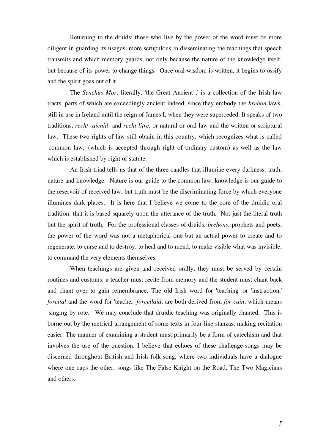Returning to the druids: those who live by the power of the word must be more diligent in guarding its usages, more scrupulous in disseminating the teachings that speech transmits and which memory guards, not only because the nature of the knowledge itself, but because of its power to change things. Once oral wisdom is written, it begins to ossify and the spirit goes out of it.

The *Senchus Mor*, literally, 'the Great Ancient ,' is a collection of the Irish law tracts, parts of which are exceedingly ancient indeed, since they embody the *brehon* laws, still in use in Ireland until the reign of James I, when they were superceded. It speaks of two traditions, *recht aicnid* and *recht litre*, or natural or oral law and the written or scriptural law. These two rights of law still obtain in this country, which recognizes what is called 'common law,' (which is accepted through right of ordinary custom) as well as the law which is established by right of statute.

An Irish triad tells us that of the three candles that illumine every darkness: truth, nature and knowledge. Nature is our guide to the common law; knowledge is our guide to the reservoir of received law; but truth must be the discriminating force by which everyone illumines dark places. It is here that I believe we come to the core of the druidic oral tradition: that it is based squarely upon the utterance of the truth. Not just the literal truth but the spirit of truth. For the professional classes of druids, *brehons*, prophets and poets, the power of the word was not a metaphorical one but an actual power to create and to regenerate, to curse and to destroy, to heal and to mend, to make visible what was invisible, to command the very elements themselves.

When teachings are given and received orally, they must be served by certain routines and customs: a teacher must recite from memory and the student must chant back and chant over to gain remembrance. The old Irish word for 'teaching' or 'instruction,' *forcital* and the word for 'teacher' *forcetlaid*, are both derived from *for-cain*, which means 'singing by rote.' We may conclude that druidic teaching was originally chanted. This is borne out by the metrical arrangement of some texts in four-line stanzas, making recitation easier. The manner of examining a student must primarily be a form of catechism and that involves the use of the question. I believe that echoes of these challenge-songs may be discerned throughout British and Irish folk-song, where two individuals have a dialogue where one caps the other: songs like The False Knight on the Road, The Two Magicians and others.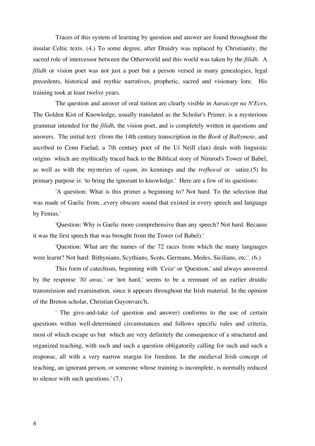Traces of this system of learning by question and answer are found throughout the insular Celtic texts. (4.) To some degree, after Druidry was replaced by Christianity, the sacred role of intercessor between the Otherworld and this world was taken by the *filidh*. A *filidh* or vision poet was not just a poet but a person versed in many genealogies, legal precedents, historical and mythic narratives, prophetic, sacred and visionary lore. His training took at least twelve years.

The question and answer of oral tuition are clearly visible in *Auraicept na N'Eces*, The Golden Kist of Knowledge, usually translated as the Scholar's Primer, is a mysterious grammar intended for the *filidh*, the vision poet, and is completely written in questions and answers. The initial text (from the 14th century transcription in the *Book of Ballymote*, and ascribed to Cenn Faelad, a 7th century poet of the Uí Neill clan) deals with linguistic origins which are mythically traced back to the Biblical story of Nimrod's Tower of Babel, as well as with the mysteries of *ogam*, its kennings and the *trefhocal* or satire.(5) Its primary purpose is: 'to bring the ignorant to knowledge.' Here are a few of its questions:

'A question: What is this primer a beginning to? Not hard. To the selection that was made of Gaelic from...every obscure sound that existed in every speech and language by Fenius.'

'Question: Why is Gaelic more comprehensive than any speech? Not hard. Because it was the first speech that was brought from the Tower (of Babel).'

'Question: What are the names of the 72 races from which the many languages were learnt? Not hard: Bithynians, Scythians, Scots, Germans, Medes, Sicilians, etc.'. (6.)

This form of catechism, beginning with *'Ceist'* or 'Question,' and always answered by the response *'Ní ansa,'* or 'not hard,' seems to be a remnant of an earlier druidic transmission and examination, since it appears throughout the Irish material. In the opinion of the Breton scholar, Christian Guyonvarc'h,

' The give-and-take (of question and answer) conforms to the use of certain questions within well-determined circumstances and follows specific rules and criteria, most of which escape us but which are very definitely the consequence of a structured and organized teaching, with such and such a question obligatorily calling for such and such a response, all with a very narrow margin for freedom. In the medieval Irish concept of teaching, an ignorant person, or someone whose training is incomplete, is normally reduced to silence with such questions.' (7.)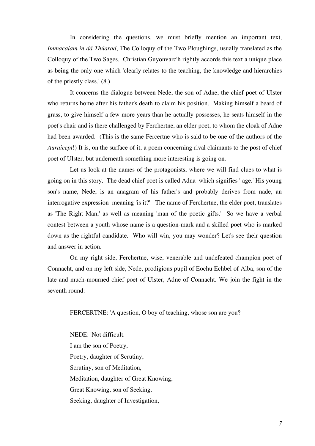In considering the questions, we must briefly mention an important text, *Immacalam in dá Thúarad*, The Colloquy of the Two Ploughings, usually translated as the Colloquy of the Two Sages. Christian Guyonvarc'h rightly accords this text a unique place as being the only one which 'clearly relates to the teaching, the knowledge and hierarchies of the priestly class.' (8.)

It concerns the dialogue between Nede, the son of Adne, the chief poet of Ulster who returns home after his father's death to claim his position. Making himself a beard of grass, to give himself a few more years than he actually possesses, he seats himself in the poet's chair and is there challenged by Ferchertne, an elder poet, to whom the cloak of Adne had been awarded. (This is the same Fercertne who is said to be one of the authors of the *Auraicept!*) It is, on the surface of it, a poem concerning rival claimants to the post of chief poet of Ulster, but underneath something more interesting is going on.

Let us look at the names of the protagonists, where we will find clues to what is going on in this story. The dead chief poet is called Adna which signifies ' age.' His young son's name, Nede, is an anagram of his father's and probably derives from nade, an interrogative expression meaning 'is it?' The name of Ferchertne, the elder poet, translates as 'The Right Man,' as well as meaning 'man of the poetic gifts.' So we have a verbal contest between a youth whose name is a question-mark and a skilled poet who is marked down as the rightful candidate. Who will win, you may wonder? Let's see their question and answer in action.

On my right side, Ferchertne, wise, venerable and undefeated champion poet of Connacht, and on my left side, Nede, prodigious pupil of Eochu Echbel of Alba, son of the late and much-mourned chief poet of Ulster, Adne of Connacht. We join the fight in the seventh round:

FERCERTNE: 'A question, O boy of teaching, whose son are you?

NEDE: 'Not difficult. I am the son of Poetry, Poetry, daughter of Scrutiny, Scrutiny, son of Meditation, Meditation, daughter of Great Knowing, Great Knowing, son of Seeking, Seeking, daughter of Investigation,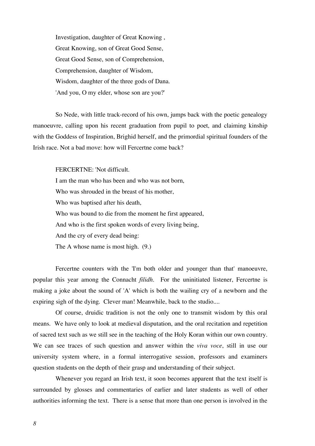Investigation, daughter of Great Knowing , Great Knowing, son of Great Good Sense, Great Good Sense, son of Comprehension, Comprehension, daughter of Wisdom, Wisdom, daughter of the three gods of Dana. 'And you, O my elder, whose son are you?'

So Nede, with little track-record of his own, jumps back with the poetic genealogy manoeuvre, calling upon his recent graduation from pupil to poet, and claiming kinship with the Goddess of Inspiration, Brighid herself, and the primordial spiritual founders of the Irish race. Not a bad move: how will Fercertne come back?

FERCERTNE: 'Not difficult.

I am the man who has been and who was not born, Who was shrouded in the breast of his mother, Who was baptised after his death, Who was bound to die from the moment he first appeared, And who is the first spoken words of every living being, And the cry of every dead being: The A whose name is most high. (9.)

Fercertne counters with the 'I'm both older and younger than that' manoeuvre, popular this year among the Connacht *filidh*. For the uninitiated listener, Fercertne is making a joke about the sound of 'A' which is both the wailing cry of a newborn and the expiring sigh of the dying. Clever man! Meanwhile, back to the studio....

Of course, druidic tradition is not the only one to transmit wisdom by this oral means. We have only to look at medieval disputation, and the oral recitation and repetition of sacred text such as we still see in the teaching of the Holy Koran within our own country. We can see traces of such question and answer within the *viva voce*, still in use our university system where, in a formal interrogative session, professors and examiners question students on the depth of their grasp and understanding of their subject.

Whenever you regard an Irish text, it soon becomes apparent that the text itself is surrounded by glosses and commentaries of earlier and later students as well of other authorities informing the text. There is a sense that more than one person is involved in the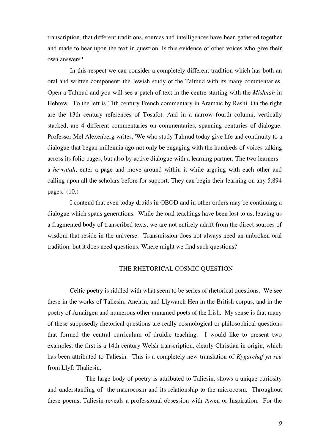transcription, that different traditions, sources and intelligences have been gathered together and made to bear upon the text in question. Is this evidence of other voices who give their own answers?

In this respect we can consider a completely different tradition which has both an oral and written component: the Jewish study of the Talmud with its many commentaries. Open a Talmud and you will see a patch of text in the centre starting with the *Mishnah* in Hebrew. To the left is 11th century French commentary in Aramaic by Rashi. On the right are the 13th century references of Tosafot. And in a narrow fourth column, vertically stacked, are 4 different commentaries on commentaries, spanning centuries of dialogue. Professor Mel Alexenberg writes, 'We who study Talmud today give life and continuity to a dialogue that began millennia ago not only be engaging with the hundreds of voices talking across its folio pages, but also by active dialogue with a learning partner. The two learners a *hevrutah*, enter a page and move around within it while arguing with each other and calling upon all the scholars before for support. They can begin their learning on any 5,894 pages.' (10.)

I contend that even today druids in OBOD and in other orders may be continuing a dialogue which spans generations. While the oral teachings have been lost to us, leaving us a fragmented body of transcribed texts, we are not entirely adrift from the direct sources of wisdom that reside in the universe. Transmission does not always need an unbroken oral tradition: but it does need questions. Where might we find such questions?

#### THE RHETORICAL COSMIC QUESTION

Celtic poetry is riddled with what seem to be series of rhetorical questions. We see these in the works of Taliesin, Aneirin, and Llywarch Hen in the British corpus, and in the poetry of Amairgen and numerous other unnamed poets of the Irish. My sense is that many of these supposedly rhetorical questions are really cosmological or philosophical questions that formed the central curriculum of druidic teaching. I would like to present two examples: the first is a 14th century Welsh transcription, clearly Christian in origin, which has been attributed to Taliesin. This is a completely new translation of *Kygarchaf yn reu* from Llyfr Thaliesin.

The large body of poetry is attributed to Taliesin, shows a unique curiosity and understanding of the macrocosm and its relationship to the microcosm. Throughout these poems, Taliesin reveals a professional obsession with Awen or Inspiration. For the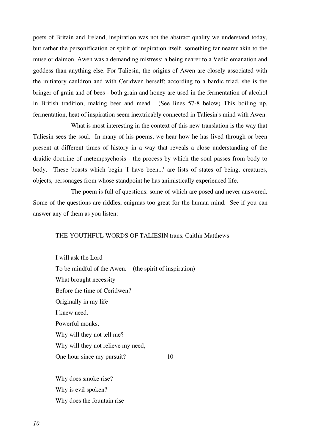poets of Britain and Ireland, inspiration was not the abstract quality we understand today, but rather the personification or spirit of inspiration itself, something far nearer akin to the muse or daimon. Awen was a demanding mistress: a being nearer to a Vedic emanation and goddess than anything else. For Taliesin, the origins of Awen are closely associated with the initiatory cauldron and with Ceridwen herself; according to a bardic triad, she is the bringer of grain and of bees - both grain and honey are used in the fermentation of alcohol in British tradition, making beer and mead. (See lines 57-8 below) This boiling up, fermentation, heat of inspiration seem inextricably connected in Taliesin's mind with Awen.

What is most interesting in the context of this new translation is the way that Taliesin sees the soul. In many of his poems, we hear how he has lived through or been present at different times of history in a way that reveals a close understanding of the druidic doctrine of metempsychosis - the process by which the soul passes from body to body. These boasts which begin 'I have been...' are lists of states of being, creatures, objects, personages from whose standpoint he has animistically experienced life.

The poem is full of questions: some of which are posed and never answered. Some of the questions are riddles, enigmas too great for the human mind. See if you can answer any of them as you listen:

#### THE YOUTHFUL WORDS OF TALIESIN trans. Caitlín Matthews

I will ask the Lord To be mindful of the Awen. (the spirit of inspiration) What brought necessity Before the time of Ceridwen? Originally in my life I knew need. Powerful monks, Why will they not tell me? Why will they not relieve my need, One hour since my pursuit? 10

Why does smoke rise? Why is evil spoken? Why does the fountain rise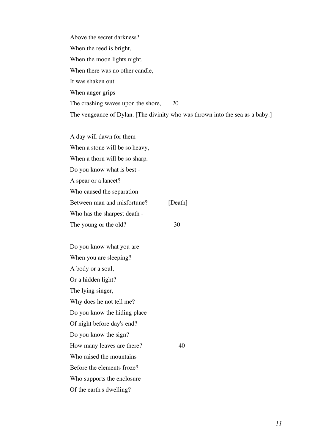Above the secret darkness? When the reed is bright, When the moon lights night, When there was no other candle, It was shaken out. When anger grips The crashing waves upon the shore, 20 The vengeance of Dylan. [The divinity who was thrown into the sea as a baby.]

A day will dawn for them When a stone will be so heavy, When a thorn will be so sharp. Do you know what is best - A spear or a lancet? Who caused the separation Between man and misfortune? [Death] Who has the sharpest death - The young or the old? 30

Do you know what you are When you are sleeping? A body or a soul, Or a hidden light? The lying singer, Why does he not tell me? Do you know the hiding place Of night before day's end? Do you know the sign? How many leaves are there? 40 Who raised the mountains Before the elements froze? Who supports the enclosure Of the earth's dwelling?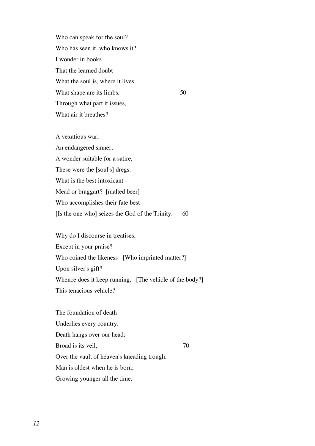Who can speak for the soul? Who has seen it, who knows it? I wonder in books That the learned doubt What the soul is, where it lives, What shape are its limbs, 50 Through what part it issues, What air it breathes?

A vexatious war, An endangered sinner, A wonder suitable for a satire, These were the [soul's] dregs. What is the best intoxicant - Mead or braggart? [malted beer] Who accomplishes their fate best [Is the one who] seizes the God of the Trinity. 60

Why do I discourse in treatises, Except in your praise? Who coined the likeness [Who imprinted matter?] Upon silver's gift? Whence does it keep running, [The vehicle of the body?] This tenacious vehicle?

The foundation of death Underlies every country. Death hangs over our head: Broad is its veil, 200 Over the vault of heaven's kneading trough. Man is oldest when he is born; Growing younger all the time.

*12*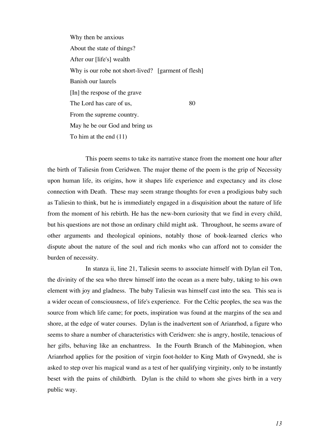Why then be anxious About the state of things? After our [life's] wealth Why is our robe not short-lived? [garment of flesh] Banish our laurels [In] the respose of the grave The Lord has care of us, 80 From the supreme country. May he be our God and bring us To him at the end (11)

This poem seems to take its narrative stance from the moment one hour after the birth of Taliesin from Ceridwen. The major theme of the poem is the grip of Necessity upon human life, its origins, how it shapes life experience and expectancy and its close connection with Death. These may seem strange thoughts for even a prodigious baby such as Taliesin to think, but he is immediately engaged in a disquisition about the nature of life from the moment of his rebirth. He has the new-born curiosity that we find in every child, but his questions are not those an ordinary child might ask. Throughout, he seems aware of other arguments and theological opinions, notably those of book-learned clerics who dispute about the nature of the soul and rich monks who can afford not to consider the burden of necessity.

In stanza ii, line 21, Taliesin seems to associate himself with Dylan eil Ton, the divinity of the sea who threw himself into the ocean as a mere baby, taking to his own element with joy and gladness. The baby Taliesin was himself cast into the sea. This sea is a wider ocean of consciousness, of life's experience. For the Celtic peoples, the sea was the source from which life came; for poets, inspiration was found at the margins of the sea and shore, at the edge of water courses. Dylan is the inadvertent son of Arianrhod, a figure who seems to share a number of characteristics with Ceridwen: she is angry, hostile, tenacious of her gifts, behaving like an enchantress. In the Fourth Branch of the Mabinogion, when Arianrhod applies for the position of virgin foot-holder to King Math of Gwynedd, she is asked to step over his magical wand as a test of her qualifying virginity, only to be instantly beset with the pains of childbirth. Dylan is the child to whom she gives birth in a very public way.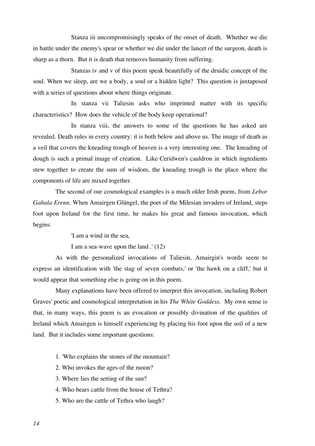Stanza iii uncompromisingly speaks of the onset of death. Whether we die in battle under the enemy's spear or whether we die under the lancet of the surgeon, death is sharp as a thorn. But it is death that removes humanity from suffering.

Stanzas iv and v of this poem speak beautifully of the druidic concept of the soul. When we sleep, are we a body, a soul or a hidden light? This question is juxtaposed with a series of questions about where things originate.

In stanza vii Taliesin asks who imprinted matter with its specific characteristics? How does the vehicle of the body keep operational?

In stanza viii, the answers to some of the questions he has asked are revealed. Death rules in every country: it is both below and above us. The image of death as a veil that covers the kneading trough of heaven is a very interesting one. The kneading of dough is such a primal image of creation. Like Ceridwen's cauldron in which ingredients stew together to create the sum of wisdom, the kneading trough is the place where the components of life are mixed together.

The second of our cosmological examples is a much older Irish poem, from *Lebor Gabala Erenn*. When Amairgen Glúngel, the poet of the Milesian invaders of Ireland, steps foot upon Ireland for the first time, he makes his great and famous invocation, which begins:

'I am a wind in the sea,

I am a sea-wave upon the land .' (12)

As with the personalized invocations of Taliesin, Amairgin's words seem to express an identification with 'the stag of seven combats,' or 'the hawk on a cliff,' but it would appear that something else is going on in this poem.

Many explanations have been offered to interpret this invocation, including Robert Graves' poetic and cosmological interpretation in his *The White Goddess*. My own sense is that, in many ways, this poem is an evocation or possibly divination of the qualities of Ireland which Amairgen is himself experiencing by placing his foot upon the soil of a new land. But it includes some important questions:

- 1. 'Who explains the stones of the mountain?
- 2. Who invokes the ages of the moon?
- 3. Where lies the setting of the sun?
- 4. Who bears cattle from the house of Tethra?
- 5. Who are the cattle of Tethra who laugh?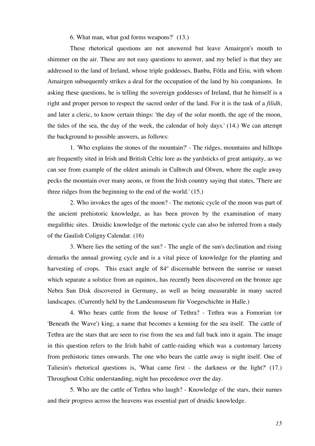6. What man, what god forms weapons?' (13.)

These rhetorical questions are not answered but leave Amairgen's mouth to shimmer on the air. These are not easy questions to answer, and my belief is that they are addressed to the land of Ireland, whose triple goddesses, Banba, Fótla and Eriu, with whom Amairgen subsequently strikes a deal for the occupation of the land by his companions. In asking these questions, he is telling the sovereign goddesses of Ireland, that he himself is a right and proper person to respect the sacred order of the land. For it is the task of a *filidh*, and later a cleric, to know certain things: 'the day of the solar month, the age of the moon, the tides of the sea, the day of the week, the calendar of holy days.' (14.) We can attempt the background to possible answers, as follows:

1. 'Who explains the stones of the mountain?' - The ridges, mountains and hilltops are frequently sited in Irish and British Celtic lore as the yardsticks of great antiquity, as we can see from example of the oldest animals in Culhwch and Olwen, where the eagle away pecks the mountain over many aeons, or from the Irish country saying that states, 'There are three ridges from the beginning to the end of the world.' (15.)

2. Who invokes the ages of the moon? - The metonic cycle of the moon was part of the ancient prehistoric knowledge, as has been proven by the examination of many megalithic sites. Druidic knowledge of the metonic cycle can also be inferred from a study of the Gaulish Coligny Calendar. (16)

3. Where lies the setting of the sun? - The angle of the sun's declination and rising demarks the annual growing cycle and is a vital piece of knowledge for the planting and harvesting of crops. This exact angle of 84° discernable between the sunrise or sunset which separate a solstice from an equinox, has recently been discovered on the bronze age Nebra Sun Disk discovered in Germany, as well as being measurable in many sacred landscapes. (Currently held by the Landesmuseum für Voegeschichte in Halle.)

4. Who bears cattle from the house of Tethra? - Tethra was a Fomorian (or 'Beneath the Wave') king, a name that becomes a kenning for the sea itself. The cattle of Tethra are the stars that are seen to rise from the sea and fall back into it again. The image in this question refers to the Irish habit of cattle-raiding which was a customary larceny from prehistoric times onwards. The one who bears the cattle away is night itself. One of Taliesin's rhetorical questions is, 'What came first - the darkness or the light?' (17.) Throughout Celtic understanding, night has precedence over the day.

5. Who are the cattle of Tethra who laugh? - Knowledge of the stars, their names and their progress across the heavens was essential part of druidic knowledge.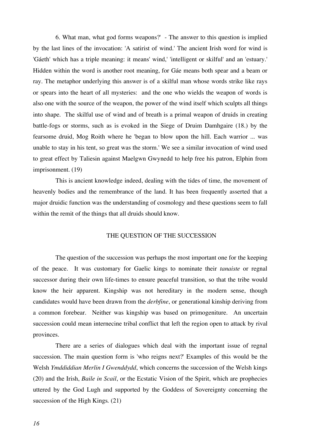6. What man, what god forms weapons?' - The answer to this question is implied by the last lines of the invocation: 'A satirist of wind.' The ancient Irish word for wind is 'Gáeth' which has a triple meaning: it means' wind,' 'intelligent or skilful' and an 'estuary.' Hidden within the word is another root meaning, for Gáe means both spear and a beam or ray. The metaphor underlying this answer is of a skilful man whose words strike like rays or spears into the heart of all mysteries: and the one who wields the weapon of words is also one with the source of the weapon, the power of the wind itself which sculpts all things into shape. The skilful use of wind and of breath is a primal weapon of druids in creating battle-fogs or storms, such as is evoked in the Siege of Druim Damhgaire (18.) by the fearsome druid, Mog Roith where he 'began to blow upon the hill. Each warrior ... was unable to stay in his tent, so great was the storm.' We see a similar invocation of wind used to great effect by Taliesin against Maelgwn Gwynedd to help free his patron, Elphin from imprisonment. (19)

This is ancient knowledge indeed, dealing with the tides of time, the movement of heavenly bodies and the remembrance of the land. It has been frequently asserted that a major druidic function was the understanding of cosmology and these questions seem to fall within the remit of the things that all druids should know.

## THE QUESTION OF THE SUCCESSION

The question of the succession was perhaps the most important one for the keeping of the peace. It was customary for Gaelic kings to nominate their *tanaiste* or regnal successor during their own life-times to ensure peaceful transition, so that the tribe would know the heir apparent. Kingship was not hereditary in the modern sense, though candidates would have been drawn from the *derbfine*, or generational kinship deriving from a common forebear. Neither was kingship was based on primogeniture. An uncertain succession could mean internecine tribal conflict that left the region open to attack by rival provinces.

There are a series of dialogues which deal with the important issue of regnal succession. The main question form is 'who reigns next?' Examples of this would be the Welsh *Ymddiddian Merlin I Gwenddydd*, which concerns the succession of the Welsh kings (20) and the Irish, *Baile in Scail*, or the Ecstatic Vision of the Spirit, which are prophecies uttered by the God Lugh and supported by the Goddess of Sovereignty concerning the succession of the High Kings. (21)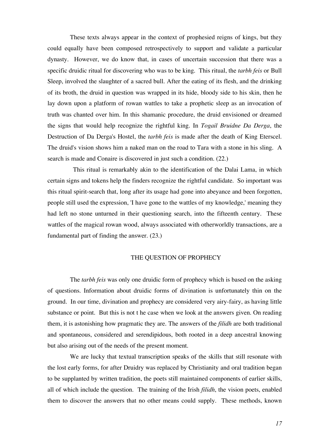These texts always appear in the context of prophesied reigns of kings, but they could equally have been composed retrospectively to support and validate a particular dynasty. However, we do know that, in cases of uncertain succession that there was a specific druidic ritual for discovering who was to be king. This ritual, the *tarbh feis* or Bull Sleep, involved the slaughter of a sacred bull. After the eating of its flesh, and the drinking of its broth, the druid in question was wrapped in its hide, bloody side to his skin, then he lay down upon a platform of rowan wattles to take a prophetic sleep as an invocation of truth was chanted over him. In this shamanic procedure, the druid envisioned or dreamed the signs that would help recognize the rightful king. In *Togail Bruidne Da Derga*, the Destruction of Da Derga's Hostel, the *tarbh feis* is made after the death of King Eterscel. The druid's vision shows him a naked man on the road to Tara with a stone in his sling. A search is made and Conaire is discovered in just such a condition. (22.)

This ritual is remarkably akin to the identification of the Dalai Lama, in which certain signs and tokens help the finders recognize the rightful candidate. So important was this ritual spirit-search that, long after its usage had gone into abeyance and been forgotten, people still used the expression, 'I have gone to the wattles of my knowledge,' meaning they had left no stone unturned in their questioning search, into the fifteenth century. These wattles of the magical rowan wood, always associated with otherworldly transactions, are a fundamental part of finding the answer. (23.)

#### THE QUESTION OF PROPHECY

The *tarbh feis* was only one druidic form of prophecy which is based on the asking of questions. Information about druidic forms of divination is unfortunately thin on the ground. In our time, divination and prophecy are considered very airy-fairy, as having little substance or point. But this is not t he case when we look at the answers given. On reading them, it is astonishing how pragmatic they are. The answers of the *filidh* are both traditional and spontaneous, considered and serendipidous, both rooted in a deep ancestral knowing but also arising out of the needs of the present moment.

We are lucky that textual transcription speaks of the skills that still resonate with the lost early forms, for after Druidry was replaced by Christianity and oral tradition began to be supplanted by written tradition, the poets still maintained components of earlier skills, all of which include the question. The training of the Irish *filidh*, the vision poets, enabled them to discover the answers that no other means could supply. These methods, known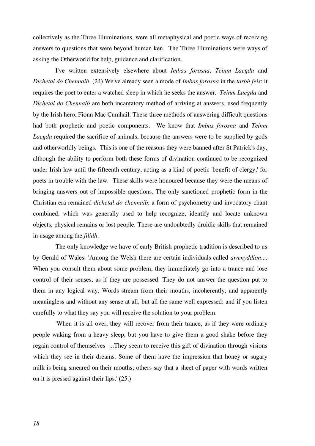collectively as the Three Illuminations, were all metaphysical and poetic ways of receiving answers to questions that were beyond human ken. The Three Illuminations were ways of asking the Otherworld for help, guidance and clarification.

I've written extensively elsewhere about *Imbas forosna*, *Teinm Laegda* and *Dichetal do Chennaib*. (24) We've already seen a mode of *Imbas forosna* in the *tarbh feis*: it requires the poet to enter a watched sleep in which he seeks the answer. *Teinm Laegda* and *Dichetal do Chennaib* are both incantatory method of arriving at answers, used frequently by the Irish hero, Fionn Mac Cumhail. These three methods of answering difficult questions had both prophetic and poetic components. We know that *Imbas forosna* and *Teinm Laegda* required the sacrifice of animals, because the answers were to be supplied by gods and otherworldly beings. This is one of the reasons they were banned after St Patrick's day, although the ability to perform both these forms of divination continued to be recognized under Irish law until the fifteenth century, acting as a kind of poetic 'benefit of clergy,' for poets in trouble with the law. These skills were honoured because they were the means of bringing answers out of impossible questions. The only sanctioned prophetic form in the Christian era remained *dichetal do chennaib*, a form of psychometry and invocatory chant combined, which was generally used to help recognize, identify and locate unknown objects, physical remains or lost people. These are undoubtedly druidic skills that remained in usage among the *filidh*.

The only knowledge we have of early British prophetic tradition is described to us by Gerald of Wales: 'Among the Welsh there are certain individuals called *awenyddion.*... When you consult them about some problem, they immediately go into a trance and lose control of their senses, as if they are possessed. They do not answer the question put to them in any logical way. Words stream from their mouths, incoherently, and apparently meaningless and without any sense at all, but all the same well expressed; and if you listen carefully to what they say you will receive the solution to your problem:

'When it is all over, they will recover from their trance, as if they were ordinary people waking from a heavy sleep, but you have to give them a good shake before they regain control of themselves ...They seem to receive this gift of divination through visions which they see in their dreams. Some of them have the impression that honey or sugary milk is being smeared on their mouths; others say that a sheet of paper with words written on it is pressed against their lips.' (25.)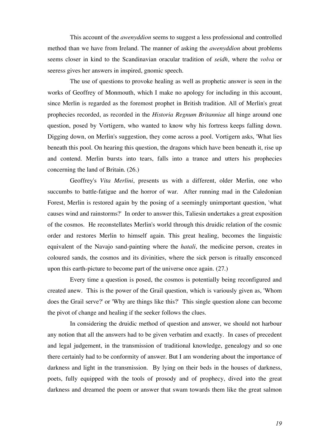This account of the *awenyddion* seems to suggest a less professional and controlled method than we have from Ireland. The manner of asking the *awenyddion* about problems seems closer in kind to the Scandinavian oracular tradition of *seidh*, where the *volva* or seeress gives her answers in inspired, gnomic speech.

The use of questions to provoke healing as well as prophetic answer is seen in the works of Geoffrey of Monmouth, which I make no apology for including in this account, since Merlin is regarded as the foremost prophet in British tradition. All of Merlin's great prophecies recorded, as recorded in the *Historia Regnum Britanniae* all hinge around one question, posed by Vortigern, who wanted to know why his fortress keeps falling down. Digging down, on Merlin's suggestion, they come across a pool. Vortigern asks, 'What lies beneath this pool. On hearing this question, the dragons which have been beneath it, rise up and contend. Merlin bursts into tears, falls into a trance and utters his prophecies concerning the land of Britain. (26.)

Geoffrey's *Vita Merlini*, presents us with a different, older Merlin, one who succumbs to battle-fatigue and the horror of war. After running mad in the Caledonian Forest, Merlin is restored again by the posing of a seemingly unimportant question, 'what causes wind and rainstorms?' In order to answer this, Taliesin undertakes a great exposition of the cosmos. He reconstellates Merlin's world through this druidic relation of the cosmic order and restores Merlin to himself again. This great healing, becomes the linguistic equivalent of the Navajo sand-painting where the *hatali*, the medicine person, creates in coloured sands, the cosmos and its divinities, where the sick person is ritually ensconced upon this earth-picture to become part of the universe once again. (27.)

Every time a question is posed, the cosmos is potentially being reconfigured and created anew. This is the power of the Grail question, which is variously given as, 'Whom does the Grail serve?' or 'Why are things like this?' This single question alone can become the pivot of change and healing if the seeker follows the clues.

In considering the druidic method of question and answer, we should not harbour any notion that all the answers had to be given verbatim and exactly. In cases of precedent and legal judgement, in the transmission of traditional knowledge, genealogy and so one there certainly had to be conformity of answer. But I am wondering about the importance of darkness and light in the transmission. By lying on their beds in the houses of darkness, poets, fully equipped with the tools of prosody and of prophecy, dived into the great darkness and dreamed the poem or answer that swam towards them like the great salmon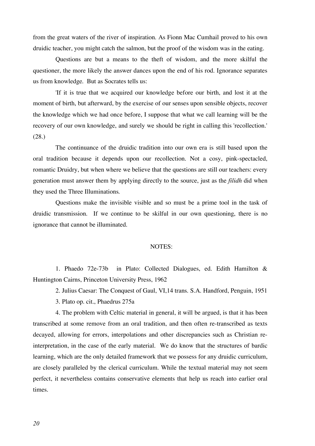from the great waters of the river of inspiration. As Fionn Mac Cumhail proved to his own druidic teacher, you might catch the salmon, but the proof of the wisdom was in the eating.

Questions are but a means to the theft of wisdom, and the more skilful the questioner, the more likely the answer dances upon the end of his rod. Ignorance separates us from knowledge. But as Socrates tells us:

'If it is true that we acquired our knowledge before our birth, and lost it at the moment of birth, but afterward, by the exercise of our senses upon sensible objects, recover the knowledge which we had once before, I suppose that what we call learning will be the recovery of our own knowledge, and surely we should be right in calling this 'recollection.' (28.)

The continuance of the druidic tradition into our own era is still based upon the oral tradition because it depends upon our recollection. Not a cosy, pink-spectacled, romantic Druidry, but when where we believe that the questions are still our teachers: every generation must answer them by applying directly to the source, just as the *filidh* did when they used the Three Illuminations.

Questions make the invisible visible and so must be a prime tool in the task of druidic transmission. If we continue to be skilful in our own questioning, there is no ignorance that cannot be illuminated.

#### NOTES:

1. Phaedo 72e-73b in Plato: Collected Dialogues, ed. Edith Hamilton & Huntington Cairns, Princeton University Press, 1962

2. Julius Caesar: The Conquest of Gaul, VI,14 trans. S.A. Handford, Penguin, 1951 3. Plato op. cit., Phaedrus 275a

4. The problem with Celtic material in general, it will be argued, is that it has been transcribed at some remove from an oral tradition, and then often re-transcribed as texts decayed, allowing for errors, interpolations and other discrepancies such as Christian reinterpretation, in the case of the early material. We do know that the structures of bardic learning, which are the only detailed framework that we possess for any druidic curriculum, are closely paralleled by the clerical curriculum. While the textual material may not seem perfect, it nevertheless contains conservative elements that help us reach into earlier oral times.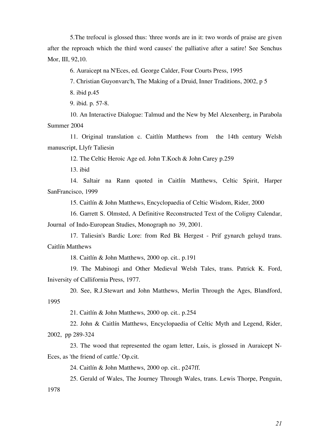5.The trefocul is glossed thus: 'three words are in it: two words of praise are given after the reproach which the third word causes' the palliative after a satire! See Senchus Mor, III, 92,10.

6. Auraicept na N'Eces, ed. George Calder, Four Courts Press, 1995

7. Christian Guyonvarc'h, The Making of a Druid, Inner Traditions, 2002, p 5

8. ibid p.45

9. ibid. p. 57-8.

10. An Interactive Dialogue: Talmud and the New by Mel Alexenberg, in Parabola Summer 2004

11. Original translation c. Caitlín Matthews from the 14th century Welsh manuscript, Llyfr Taliesin

12. The Celtic Heroic Age ed. John T.Koch & John Carey p.259

13. ibid

14. Saltair na Rann quoted in Caitlín Matthews, Celtic Spirit, Harper SanFrancisco, 1999

15. Caitlín & John Matthews, Encyclopaedia of Celtic Wisdom, Rider, 2000

16. Garrett S. Olmsted, A Definitive Reconstructed Text of the Coligny Calendar, Journal of Indo-European Studies, Monograph no 39, 2001.

17. Taliesin's Bardic Lore: from Red Bk Hergest - Prif gynarch geluyd trans. Caitlín Matthews

18. Caitlín & John Matthews, 2000 op. cit.. p.191

19. The Mabinogi and Other Medieval Welsh Tales, trans. Patrick K. Ford, Iniversity of Callifornia Press, 1977.

20. See, R.J.Stewart and John Matthews, Merlin Through the Ages, Blandford, 1995

21. Caitlín & John Matthews, 2000 op. cit.. p.254

22. John & Caitlín Matthews, Encyclopaedia of Celtic Myth and Legend, Rider, 2002, pp 289-324

23. The wood that represented the ogam letter, Luis, is glossed in Auraicept N-Eces, as 'the friend of cattle.' Op.cit.

24. Caitlín & John Matthews, 2000 op. cit.. p247ff.

25. Gerald of Wales, The Journey Through Wales, trans. Lewis Thorpe, Penguin, 1978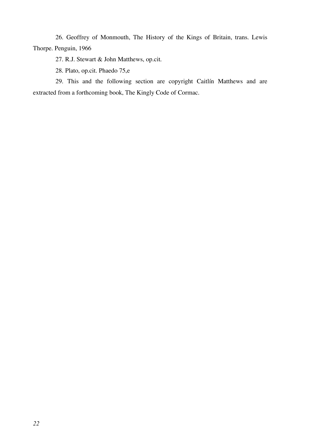26. Geoffrey of Monmouth, The History of the Kings of Britain, trans. Lewis Thorpe. Penguin, 1966

27. R.J. Stewart & John Matthews, op.cit.

28. Plato, op.cit. Phaedo 75,e

29. This and the following section are copyright Caitlín Matthews and are extracted from a forthcoming book, The Kingly Code of Cormac.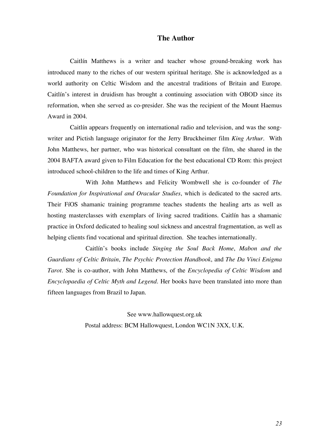## **The Author**

Caitlín Matthews is a writer and teacher whose ground-breaking work has introduced many to the riches of our western spiritual heritage. She is acknowledged as a world authority on Celtic Wisdom and the ancestral traditions of Britain and Europe. Caitlín's interest in druidism has brought a continuing association with OBOD since its reformation, when she served as co-presider. She was the recipient of the Mount Haemus Award in 2004.

Caitlín appears frequently on international radio and television, and was the songwriter and Pictish language originator for the Jerry Bruckheimer film *King Arthur*. With John Matthews, her partner, who was historical consultant on the film, she shared in the 2004 BAFTA award given to Film Education for the best educational CD Rom: this project introduced school-children to the life and times of King Arthur.

With John Matthews and Felicity Wombwell she is co-founder of *The Foundation for Inspirational and Oracular Studies*, which is dedicated to the sacred arts. Their FíOS shamanic training programme teaches students the healing arts as well as hosting masterclasses with exemplars of living sacred traditions. Caitlín has a shamanic practice in Oxford dedicated to healing soul sickness and ancestral fragmentation, as well as helping clients find vocational and spiritual direction. She teaches internationally.

Caitlín's books include *Singing the Soul Back Home*, *Mabon and the Guardians of Celtic Britain*, *The Psychic Protection Handbook*, and *The Da Vinci Enigma Tarot*. She is co-author, with John Matthews, of the *Encyclopedia of Celtic Wisdom* and *Encyclopaedia of Celtic Myth and Legend*. Her books have been translated into more than fifteen languages from Brazil to Japan.

> See www.hallowquest.org.uk Postal address: BCM Hallowquest, London WC1N 3XX, U.K.